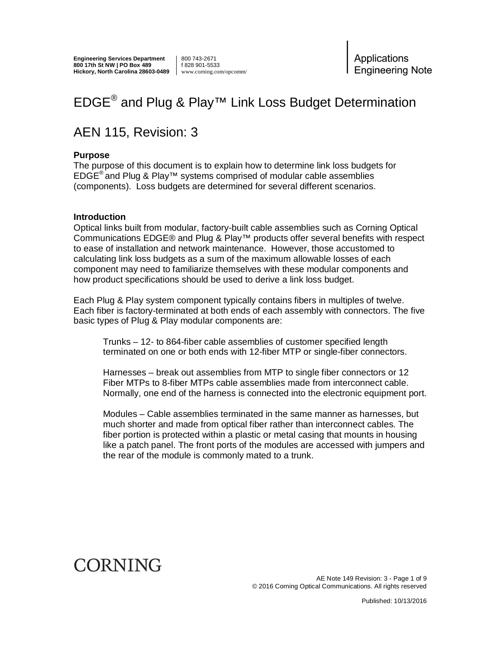**Engineering Services Department 800 17th St NW | PO Box 489 Hickory, North Carolina 28603-0489** 800 743-2671 f 828 901-5533 www.corning.com/opcomm/ Applications **Engineering Note** 

# EDGE<sup>®</sup> and Plug & Play<sup>™</sup> Link Loss Budget Determination

# AEN 115, Revision: 3

#### **Purpose**

The purpose of this document is to explain how to determine link loss budgets for  $EDGE^{\circledast}$  and Plug & Play<sup>TM</sup> systems comprised of modular cable assemblies (components). Loss budgets are determined for several different scenarios.

#### **Introduction**

Optical links built from modular, factory-built cable assemblies such as Corning Optical Communications EDGE® and Plug & Play™ products offer several benefits with respect to ease of installation and network maintenance. However, those accustomed to calculating link loss budgets as a sum of the maximum allowable losses of each component may need to familiarize themselves with these modular components and how product specifications should be used to derive a link loss budget.

Each Plug & Play system component typically contains fibers in multiples of twelve. Each fiber is factory-terminated at both ends of each assembly with connectors. The five basic types of Plug & Play modular components are:

Trunks – 12- to 864-fiber cable assemblies of customer specified length terminated on one or both ends with 12-fiber MTP or single-fiber connectors.

Harnesses – break out assemblies from MTP to single fiber connectors or 12 Fiber MTPs to 8-fiber MTPs cable assemblies made from interconnect cable. Normally, one end of the harness is connected into the electronic equipment port.

Modules – Cable assemblies terminated in the same manner as harnesses, but much shorter and made from optical fiber rather than interconnect cables. The fiber portion is protected within a plastic or metal casing that mounts in housing like a patch panel. The front ports of the modules are accessed with jumpers and the rear of the module is commonly mated to a trunk.

# CORNING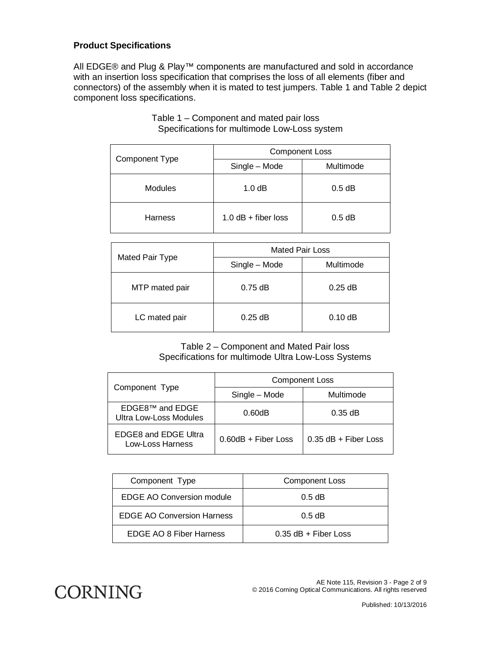# **Product Specifications**

All EDGE® and Plug & Play™ components are manufactured and sold in accordance with an insertion loss specification that comprises the loss of all elements (fiber and connectors) of the assembly when it is mated to test jumpers. Table 1 and Table 2 depict component loss specifications.

| <b>Component Type</b> | <b>Component Loss</b> |           |
|-----------------------|-----------------------|-----------|
|                       | Single - Mode         | Multimode |
| <b>Modules</b>        | 1.0 dB                | $0.5$ dB  |
| <b>Harness</b>        | 1.0 $dB + fiber$ loss | $0.5$ dB  |

#### Table 1 – Component and mated pair loss Specifications for multimode Low-Loss system

| Mated Pair Type | <b>Mated Pair Loss</b> |           |
|-----------------|------------------------|-----------|
|                 | Single - Mode          | Multimode |
| MTP mated pair  | $0.75$ dB              | $0.25$ dB |
| LC mated pair   | $0.25$ dB              | $0.10$ dB |

Table 2 – Component and Mated Pair loss Specifications for multimode Ultra Low-Loss Systems

| Component Type                                        | <b>Component Loss</b> |                        |
|-------------------------------------------------------|-----------------------|------------------------|
|                                                       | Single - Mode         | Multimode              |
| EDGE8 <sup>™</sup> and EDGE<br>Ultra Low-Loss Modules | 0.60dB                | $0.35$ dB              |
| <b>EDGE8 and EDGE Ultra</b><br>Low-Loss Harness       | $0.60dB +$ Fiber Loss | $0.35$ dB + Fiber Loss |

| Component Type                    | <b>Component Loss</b>  |
|-----------------------------------|------------------------|
| EDGE AO Conversion module         | $0.5$ dB               |
| <b>EDGE AO Conversion Harness</b> | $0.5$ dB               |
| EDGE AO 8 Fiber Harness           | $0.35$ dB + Fiber Loss |

**CORNING**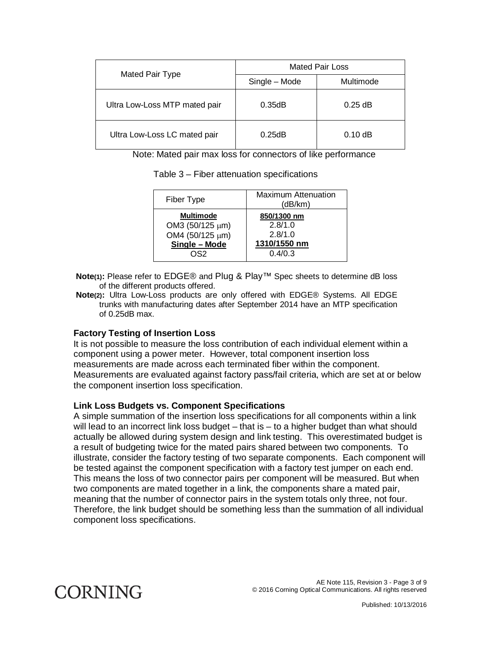|                               | <b>Mated Pair Loss</b> |           |
|-------------------------------|------------------------|-----------|
| Mated Pair Type               | Single - Mode          | Multimode |
| Ultra Low-Loss MTP mated pair | 0.35dB                 | $0.25$ dB |
| Ultra Low-Loss LC mated pair  | 0.25dB                 | $0.10$ dB |

Note: Mated pair max loss for connectors of like performance

Table 3 – Fiber attenuation specifications

| Fiber Type       | <b>Maximum Attenuation</b><br>(dB/km) |
|------------------|---------------------------------------|
| <b>Multimode</b> | 850/1300 nm                           |
| OM3 (50/125 µm)  | 2.8/1.0                               |
| OM4 (50/125 µm)  | 2.8/1.0                               |
| Single - Mode    | 1310/1550 nm                          |
| റടാ              | 0.4/0.3                               |
|                  |                                       |

 **Note(1):** Please refer to EDGE® and Plug & Play™ Spec sheets to determine dB loss of the different products offered.

 **Note(2):** Ultra Low-Loss products are only offered with EDGE® Systems. All EDGE trunks with manufacturing dates after September 2014 have an MTP specification of 0.25dB max.

### **Factory Testing of Insertion Loss**

It is not possible to measure the loss contribution of each individual element within a component using a power meter. However, total component insertion loss measurements are made across each terminated fiber within the component. Measurements are evaluated against factory pass/fail criteria, which are set at or below the component insertion loss specification.

### **Link Loss Budgets vs. Component Specifications**

A simple summation of the insertion loss specifications for all components within a link will lead to an incorrect link loss budget – that is – to a higher budget than what should actually be allowed during system design and link testing. This overestimated budget is a result of budgeting twice for the mated pairs shared between two components. To illustrate, consider the factory testing of two separate components. Each component will be tested against the component specification with a factory test jumper on each end. This means the loss of two connector pairs per component will be measured. But when two components are mated together in a link, the components share a mated pair, meaning that the number of connector pairs in the system totals only three, not four. Therefore, the link budget should be something less than the summation of all individual component loss specifications.

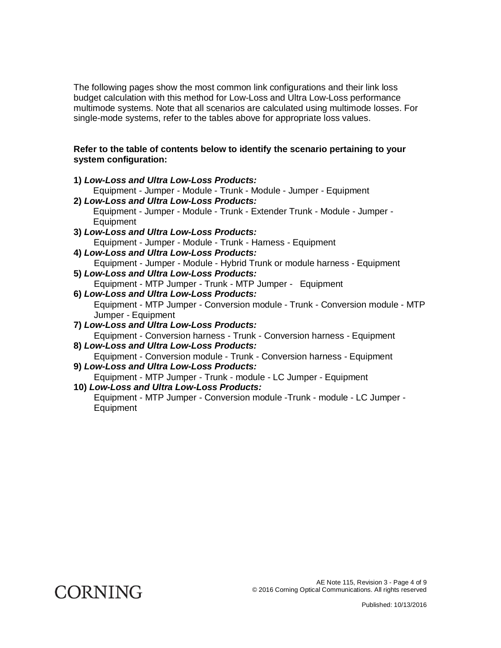The following pages show the most common link configurations and their link loss budget calculation with this method for Low-Loss and Ultra Low-Loss performance multimode systems. Note that all scenarios are calculated using multimode losses. For single-mode systems, refer to the tables above for appropriate loss values.

### **Refer to the table of contents below to identify the scenario pertaining to your system configuration:**

- **1)** *Low-Loss and Ultra Low-Loss Products:*  Equipment - Jumper - Module - Trunk - Module - Jumper - Equipment **2)** *Low-Loss and Ultra Low-Loss Products:*  Equipment - Jumper - Module - Trunk - Extender Trunk - Module - Jumper - **Equipment 3)** *Low-Loss and Ultra Low-Loss Products:*  Equipment - Jumper - Module - Trunk - Harness - Equipment **4)** *Low-Loss and Ultra Low-Loss Products:*  Equipment - Jumper - Module - Hybrid Trunk or module harness - Equipment **5)** *Low-Loss and Ultra Low-Loss Products:*  Equipment - MTP Jumper - Trunk - MTP Jumper - Equipment **6)** *Low-Loss and Ultra Low-Loss Products:*  Equipment - MTP Jumper - Conversion module - Trunk - Conversion module - MTP Jumper - Equipment **7)** *Low-Loss and Ultra Low-Loss Products:*  Equipment - Conversion harness - Trunk - Conversion harness - Equipment **8)** *Low-Loss and Ultra Low-Loss Products:*  Equipment - Conversion module - Trunk - Conversion harness - Equipment **9)** *Low-Loss and Ultra Low-Loss Products:*  Equipment - MTP Jumper - Trunk - module - LC Jumper - Equipment
- **10)** *Low-Loss and Ultra Low-Loss Products:*  Equipment - MTP Jumper - Conversion module -Trunk - module - LC Jumper - Equipment

**CORNING**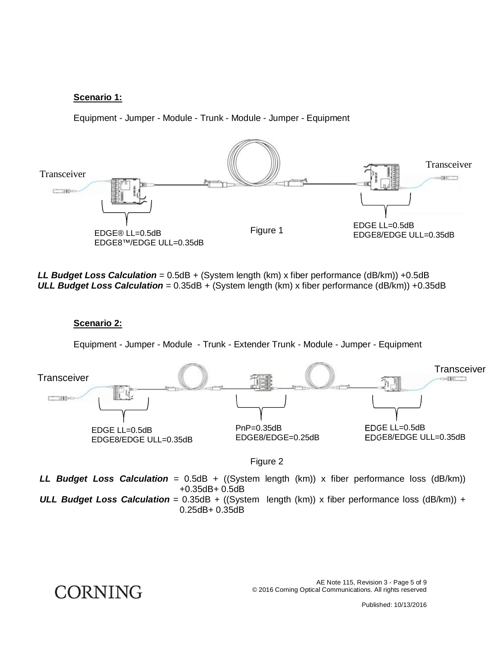### **Scenario 1:**

Equipment - Jumper - Module - Trunk - Module - Jumper - Equipment



*LL Budget Loss Calculation* = 0.5dB + (System length (km) x fiber performance (dB/km)) +0.5dB *ULL Budget Loss Calculation* = 0.35dB + (System length (km) x fiber performance (dB/km)) +0.35dB

**Scenario 2:** 

**CORNING** 

Equipment - Jumper - Module - Trunk - Extender Trunk - Module - Jumper - Equipment



Figure 2

*LL Budget Loss Calculation* = 0.5dB + ((System length (km)) x fiber performance loss (dB/km)) +0.35dB+ 0.5dB

*ULL Budget Loss Calculation* = 0.35dB + ((System length (km)) x fiber performance loss (dB/km)) + 0.25dB+ 0.35dB

> AE Note 115, Revision 3 - Page 5 of 9 © 2016 Corning Optical Communications. All rights reserved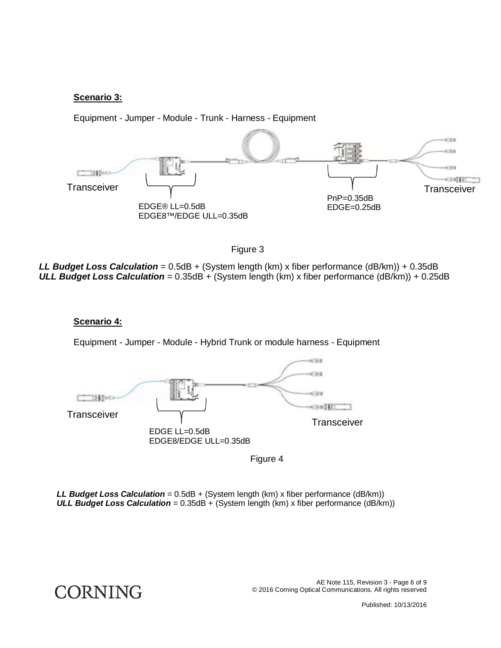#### **Scenario 3:**

Equipment - Jumper - Module - Trunk - Harness - Equipment





*LL Budget Loss Calculation* = 0.5dB + (System length (km) x fiber performance (dB/km)) + 0.35dB *ULL Budget Loss Calculation* = 0.35dB + (System length (km) x fiber performance (dB/km)) + 0.25dB

#### **Scenario 4:**

**CORNING** 

Equipment - Jumper - Module - Hybrid Trunk or module harness - Equipment



Figure 4

*LL Budget Loss Calculation* = 0.5dB + (System length (km) x fiber performance (dB/km)) **ULL Budget Loss Calculation** = 0.35dB + (System length (km) x fiber performance (dB/km))

> AE Note 115, Revision 3 - Page 6 of 9 © 2016 Corning Optical Communications. All rights reserved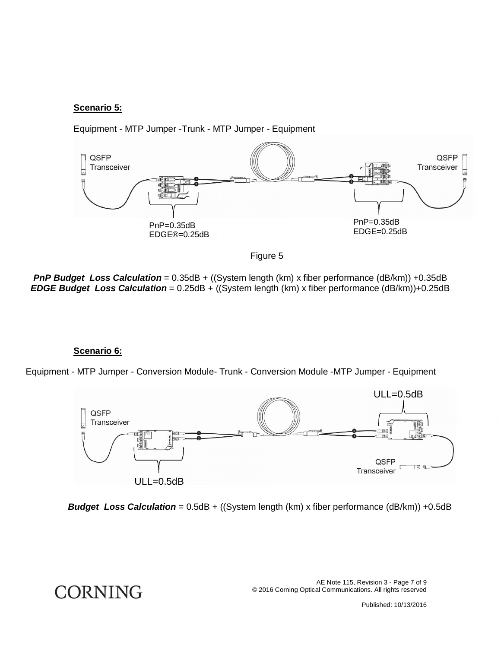# **Scenario 5:**



Equipment - MTP Jumper -Trunk - MTP Jumper - Equipment



**PnP Budget Loss Calculation** = 0.35dB + ((System length (km) x fiber performance (dB/km)) +0.35dB *EDGE Budget Loss Calculation* = 0.25dB + ((System length (km) x fiber performance (dB/km))+0.25dB

#### **Scenario 6:**

**CORNING** 

Equipment - MTP Jumper - Conversion Module- Trunk - Conversion Module -MTP Jumper - Equipment



**Budget Loss Calculation** = 0.5dB + ((System length (km) x fiber performance (dB/km)) +0.5dB

AE Note 115, Revision 3 - Page 7 of 9 © 2016 Corning Optical Communications. All rights reserved

Published: 10/13/2016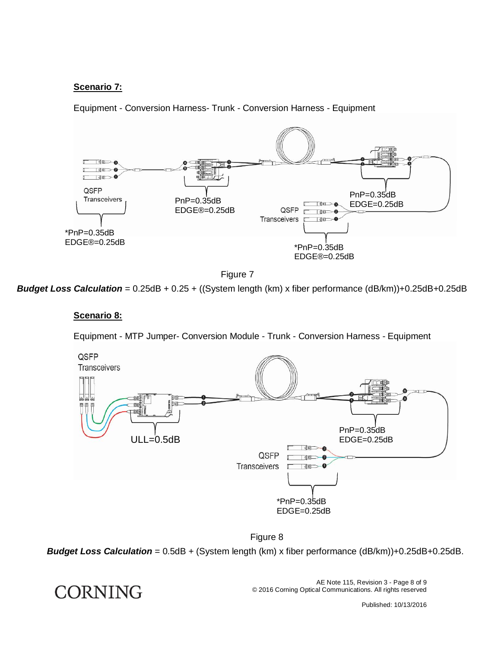# **Scenario 7:**

Equipment - Conversion Harness- Trunk - Conversion Harness - Equipment





*Budget Loss Calculation* = 0.25dB + 0.25 + ((System length (km) x fiber performance (dB/km))+0.25dB+0.25dB

## **Scenario 8:**

Equipment - MTP Jumper- Conversion Module - Trunk - Conversion Harness - Equipment



Figure 8

*Budget Loss Calculation* = 0.5dB + (System length (km) x fiber performance (dB/km))+0.25dB+0.25dB.

**CORNING** 

AE Note 115, Revision 3 - Page 8 of 9 © 2016 Corning Optical Communications. All rights reserved

Published: 10/13/2016